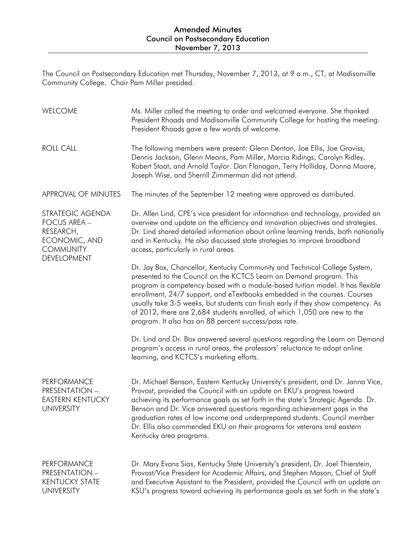The Council on Postsecondary Education met Thursday, November 7, 2013, at 9 a.m., CT, at Madisonville Community College. Chair Pam Miller presided.

| WELCOME                                                                                                  | Ms. Miller called the meeting to order and welcomed everyone. She thanked<br>President Rhoads and Madisonville Community College for hosting the meeting.<br>President Rhoads gave a few words of welcome.                                                                                                                                                                                                                                                                                                                                 |
|----------------------------------------------------------------------------------------------------------|--------------------------------------------------------------------------------------------------------------------------------------------------------------------------------------------------------------------------------------------------------------------------------------------------------------------------------------------------------------------------------------------------------------------------------------------------------------------------------------------------------------------------------------------|
| <b>ROLL CALL</b>                                                                                         | The following members were present: Glenn Denton, Joe Ellis, Joe Graviss,<br>Dennis Jackson, Glenn Means, Pam Miller, Marcia Ridings, Carolyn Ridley,<br>Robert Staat, and Arnold Taylor. Dan Flanagan, Terry Holliday, Donna Moore,<br>Joseph Wise, and Sherrill Zimmerman did not attend.                                                                                                                                                                                                                                                |
| APPROVAL OF MINUTES                                                                                      | The minutes of the September 12 meeting were approved as distributed.                                                                                                                                                                                                                                                                                                                                                                                                                                                                      |
| STRATEGIC AGENDA<br><b>FOCUS AREA -</b><br>RESEARCH,<br>ECONOMIC, AND<br><b>COMMUNITY</b><br>DEVELOPMENT | Dr. Allen Lind, CPE's vice president for information and technology, provided an<br>overview and update on the efficiency and innovation objectives and strategies.<br>Dr. Lind shared detailed information about online learning trends, both nationally<br>and in Kentucky. He also discussed state strategies to improve broadband<br>access, particularly in rural areas.                                                                                                                                                              |
|                                                                                                          | Dr. Jay Box, Chancellor, Kentucky Community and Technical College System,<br>presented to the Council on the KCTCS Learn on Demand program. This<br>program is competency-based with a module-based tuition model. It has flexible<br>enrollment, 24/7 support, and eTextbooks embedded in the courses. Courses<br>usually take 3-5 weeks, but students can finish early if they show competency. As<br>of 2012, there are 2,684 students enrolled, of which 1,050 are new to the<br>program. It also has an 88 percent success/pass rate. |
|                                                                                                          | Dr. Lind and Dr. Box answered several questions regarding the Learn on Demand<br>program's access in rural areas, the professors' reluctance to adopt online<br>learning, and KCTCS's marketing efforts.                                                                                                                                                                                                                                                                                                                                   |
| <b>PERFORMANCE</b><br><b>PRESENTATION -</b><br><b>EASTERN KENTUCKY</b><br><b>UNIVERSITY</b>              | Dr. Michael Benson, Eastern Kentucky University's president, and Dr. Janna Vice,<br>Provost, provided the Council with an update on EKU's progress toward<br>achieving its performance goals as set forth in the state's Strategic Agenda. Dr.<br>Benson and Dr. Vice answered questions regarding achievement gaps in the<br>graduation rates of low income and underprepared students. Council member<br>Dr. Ellis also commended EKU on their programs for veterans and eastern<br>Kentucky area programs.                              |
| PERFORMANCE<br>PRESENTATION -<br><b>KENTUCKY STATE</b><br><b>UNIVERSITY</b>                              | Dr. Mary Evans Sias, Kentucky State University's president, Dr. Joel Thierstein,<br>Provost/Vice President for Academic Affairs, and Stephen Mason, Chief of Staff<br>and Executive Assistant to the President, provided the Council with an update on<br>KSU's progress toward achieving its performance goals as set forth in the state's                                                                                                                                                                                                |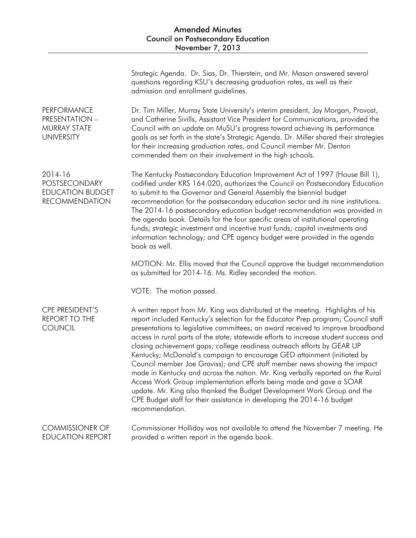|                                                                              | Strategic Agenda. Dr. Sias, Dr. Thierstein, and Mr. Mason answered several<br>questions regarding KSU's decreasing graduation rates, as well as their<br>admission and enrollment guidelines.                                                                                                                                                                                                                                                                                                                                                                                                                                                                                                                                                                                                                                                                                                                          |
|------------------------------------------------------------------------------|------------------------------------------------------------------------------------------------------------------------------------------------------------------------------------------------------------------------------------------------------------------------------------------------------------------------------------------------------------------------------------------------------------------------------------------------------------------------------------------------------------------------------------------------------------------------------------------------------------------------------------------------------------------------------------------------------------------------------------------------------------------------------------------------------------------------------------------------------------------------------------------------------------------------|
| <b>PERFORMANCE</b><br>PRESENTATION -<br>MURRAY STATE<br><b>UNIVERSITY</b>    | Dr. Tim Miller, Murray State University's interim president, Jay Morgan, Provost,<br>and Catherine Sivills, Assistant Vice President for Communications, provided the<br>Council with an update on MuSU's progress toward achieving its performance<br>goals as set forth in the state's Strategic Agenda. Dr. Miller shared their strategies<br>for their increasing graduation rates, and Council member Mr. Denton<br>commended them on their involvement in the high schools.                                                                                                                                                                                                                                                                                                                                                                                                                                      |
| 2014-16<br>POSTSECONDARY<br><b>EDUCATION BUDGET</b><br><b>RECOMMENDATION</b> | The Kentucky Postsecondary Education Improvement Act of 1997 (House Bill 1),<br>codified under KRS 164.020, authorizes the Council on Postsecondary Education<br>to submit to the Governor and General Assembly the biennial budget<br>recommendation for the postsecondary education sector and its nine institutions.<br>The 2014-16 postsecondary education budget recommendation was provided in<br>the agenda book. Details for the four specific areas of institutional operating<br>funds; strategic investment and incentive trust funds; capital investments and<br>information technology; and CPE agency budget were provided in the agenda<br>book as well.                                                                                                                                                                                                                                                |
|                                                                              | MOTION: Mr. Ellis moved that the Council approve the budget recommendation<br>as submitted for 2014-16. Ms. Ridley seconded the motion.                                                                                                                                                                                                                                                                                                                                                                                                                                                                                                                                                                                                                                                                                                                                                                                |
|                                                                              | VOTE: The motion passed.                                                                                                                                                                                                                                                                                                                                                                                                                                                                                                                                                                                                                                                                                                                                                                                                                                                                                               |
| CPE PRESIDENT'S<br><b>REPORT TO THE</b><br><b>COUNCIL</b>                    | A written report from Mr. King was distributed at the meeting. Highlights of his<br>report included Kentucky's selection for the Educator Prep program; Council staff<br>presentations to legislative committees; an award received to improve broadband<br>access in rural parts of the state; statewide efforts to increase student success and<br>closing achievement gaps; college readiness outreach efforts by GEAR UP<br>Kentucky; McDonald's campaign to encourage GED attainment (initiated by<br>Council member Joe Graviss); and CPE staff member news showing the impact<br>made in Kentucky and across the nation. Mr. King verbally reported on the Rural<br>Access Work Group implementation efforts being made and gave a SOAR<br>update. Mr. King also thanked the Budget Development Work Group and the<br>CPE Budget staff for their assistance in developing the 2014-16 budget<br>recommendation. |
| <b>COMMISSIONER OF</b><br><b>EDUCATION REPORT</b>                            | Commissioner Holliday was not available to attend the November 7 meeting. He<br>provided a written report in the agenda book.                                                                                                                                                                                                                                                                                                                                                                                                                                                                                                                                                                                                                                                                                                                                                                                          |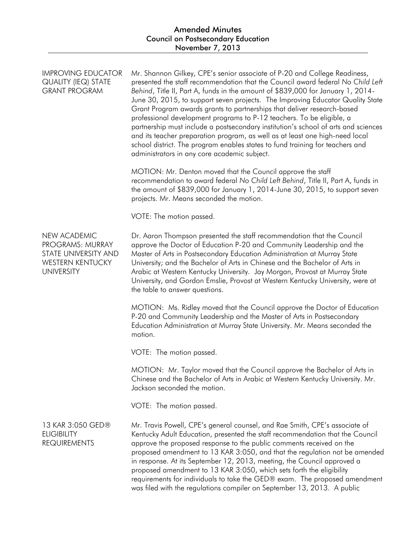| <b>IMPROVING EDUCATOR</b><br><b>QUALITY (IEQ) STATE</b><br><b>GRANT PROGRAM</b>                   | Mr. Shannon Gilkey, CPE's senior associate of P-20 and College Readiness,<br>presented the staff recommendation that the Council award federal No Child Left<br>Behind, Title II, Part A, funds in the amount of \$839,000 for January 1, 2014-<br>June 30, 2015, to support seven projects. The Improving Educator Quality State<br>Grant Program awards grants to partnerships that deliver research-based<br>professional development programs to P-12 teachers. To be eligible, a<br>partnership must include a postsecondary institution's school of arts and sciences<br>and its teacher preparation program, as well as at least one high-need local<br>school district. The program enables states to fund training for teachers and<br>administrators in any core academic subject. |
|---------------------------------------------------------------------------------------------------|----------------------------------------------------------------------------------------------------------------------------------------------------------------------------------------------------------------------------------------------------------------------------------------------------------------------------------------------------------------------------------------------------------------------------------------------------------------------------------------------------------------------------------------------------------------------------------------------------------------------------------------------------------------------------------------------------------------------------------------------------------------------------------------------|
|                                                                                                   | MOTION: Mr. Denton moved that the Council approve the staff<br>recommendation to award federal No Child Left Behind, Title II, Part A, funds in<br>the amount of \$839,000 for January 1, 2014-June 30, 2015, to support seven<br>projects. Mr. Means seconded the motion.                                                                                                                                                                                                                                                                                                                                                                                                                                                                                                                   |
|                                                                                                   | VOTE: The motion passed.                                                                                                                                                                                                                                                                                                                                                                                                                                                                                                                                                                                                                                                                                                                                                                     |
| NEW ACADEMIC<br>PROGRAMS: MURRAY<br>STATE UNIVERSITY AND<br>WESTERN KENTUCKY<br><b>UNIVERSITY</b> | Dr. Aaron Thompson presented the staff recommendation that the Council<br>approve the Doctor of Education P-20 and Community Leadership and the<br>Master of Arts in Postsecondary Education Administration at Murray State<br>University; and the Bachelor of Arts in Chinese and the Bachelor of Arts in<br>Arabic at Western Kentucky University. Jay Morgan, Provost at Murray State<br>University, and Gordon Emslie, Provost at Western Kentucky University, were at<br>the table to answer questions.                                                                                                                                                                                                                                                                                 |
|                                                                                                   | MOTION: Ms. Ridley moved that the Council approve the Doctor of Education<br>P-20 and Community Leadership and the Master of Arts in Postsecondary<br>Education Administration at Murray State University. Mr. Means seconded the<br>motion.                                                                                                                                                                                                                                                                                                                                                                                                                                                                                                                                                 |
|                                                                                                   | VOTE: The motion passed.                                                                                                                                                                                                                                                                                                                                                                                                                                                                                                                                                                                                                                                                                                                                                                     |
|                                                                                                   | MOTION: Mr. Taylor moved that the Council approve the Bachelor of Arts in<br>Chinese and the Bachelor of Arts in Arabic at Western Kentucky University. Mr.<br>Jackson seconded the motion.                                                                                                                                                                                                                                                                                                                                                                                                                                                                                                                                                                                                  |
|                                                                                                   | VOTE: The motion passed.                                                                                                                                                                                                                                                                                                                                                                                                                                                                                                                                                                                                                                                                                                                                                                     |
| 13 KAR 3:050 GED®<br><b>ELIGIBILITY</b><br><b>REQUIREMENTS</b>                                    | Mr. Travis Powell, CPE's general counsel, and Rae Smith, CPE's associate of<br>Kentucky Adult Education, presented the staff recommendation that the Council<br>approve the proposed response to the public comments received on the<br>proposed amendment to 13 KAR 3:050, and that the regulation not be amended<br>in response. At its September 12, 2013, meeting, the Council approved a<br>proposed amendment to 13 KAR 3:050, which sets forth the eligibility<br>requirements for individuals to take the GED® exam. The proposed amendment<br>was filed with the regulations compiler on September 13, 2013. A public                                                                                                                                                               |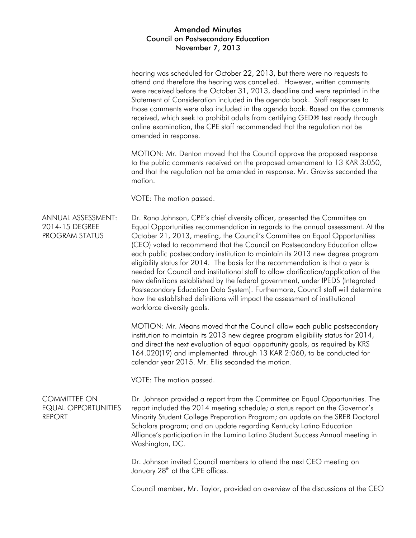|                                                                    | hearing was scheduled for October 22, 2013, but there were no requests to<br>attend and therefore the hearing was cancelled. However, written comments<br>were received before the October 31, 2013, deadline and were reprinted in the<br>Statement of Consideration included in the agenda book. Staff responses to<br>those comments were also included in the agenda book. Based on the comments<br>received, which seek to prohibit adults from certifying GED® test ready through<br>online examination, the CPE staff recommended that the regulation not be<br>amended in response.                                                                                                                                                                                                                                                                            |
|--------------------------------------------------------------------|------------------------------------------------------------------------------------------------------------------------------------------------------------------------------------------------------------------------------------------------------------------------------------------------------------------------------------------------------------------------------------------------------------------------------------------------------------------------------------------------------------------------------------------------------------------------------------------------------------------------------------------------------------------------------------------------------------------------------------------------------------------------------------------------------------------------------------------------------------------------|
|                                                                    | MOTION: Mr. Denton moved that the Council approve the proposed response<br>to the public comments received on the proposed amendment to 13 KAR 3:050,<br>and that the regulation not be amended in response. Mr. Graviss seconded the<br>motion.                                                                                                                                                                                                                                                                                                                                                                                                                                                                                                                                                                                                                       |
|                                                                    | VOTE: The motion passed.                                                                                                                                                                                                                                                                                                                                                                                                                                                                                                                                                                                                                                                                                                                                                                                                                                               |
| ANNUAL ASSESSMENT:<br>2014-15 DEGREE<br><b>PROGRAM STATUS</b>      | Dr. Rana Johnson, CPE's chief diversity officer, presented the Committee on<br>Equal Opportunities recommendation in regards to the annual assessment. At the<br>October 21, 2013, meeting, the Council's Committee on Equal Opportunities<br>(CEO) voted to recommend that the Council on Postsecondary Education allow<br>each public postsecondary institution to maintain its 2013 new degree program<br>eligibility status for 2014. The basis for the recommendation is that a year is<br>needed for Council and institutional staff to allow clarification/application of the<br>new definitions established by the federal government, under IPEDS (Integrated<br>Postsecondary Education Data System). Furthermore, Council staff will determine<br>how the established definitions will impact the assessment of institutional<br>workforce diversity goals. |
|                                                                    | MOTION: Mr. Means moved that the Council allow each public postsecondary<br>institution to maintain its 2013 new degree program eligibility status for 2014,<br>and direct the next evaluation of equal opportunity goals, as required by KRS<br>164.020(19) and implemented through 13 KAR 2:060, to be conducted for<br>calendar year 2015. Mr. Ellis seconded the motion.                                                                                                                                                                                                                                                                                                                                                                                                                                                                                           |
|                                                                    | VOTE: The motion passed.                                                                                                                                                                                                                                                                                                                                                                                                                                                                                                                                                                                                                                                                                                                                                                                                                                               |
| <b>COMMITTEE ON</b><br><b>EQUAL OPPORTUNITIES</b><br><b>REPORT</b> | Dr. Johnson provided a report from the Committee on Equal Opportunities. The<br>report included the 2014 meeting schedule; a status report on the Governor's<br>Minority Student College Preparation Program; an update on the SREB Doctoral<br>Scholars program; and an update regarding Kentucky Latino Education<br>Alliance's participation in the Lumina Latino Student Success Annual meeting in<br>Washington, DC.                                                                                                                                                                                                                                                                                                                                                                                                                                              |
|                                                                    | Dr. Johnson invited Council members to attend the next CEO meeting on<br>January 28 <sup>th</sup> at the CPE offices.                                                                                                                                                                                                                                                                                                                                                                                                                                                                                                                                                                                                                                                                                                                                                  |
|                                                                    | Council member, Mr. Taylor, provided an overview of the discussions at the CEO                                                                                                                                                                                                                                                                                                                                                                                                                                                                                                                                                                                                                                                                                                                                                                                         |
|                                                                    |                                                                                                                                                                                                                                                                                                                                                                                                                                                                                                                                                                                                                                                                                                                                                                                                                                                                        |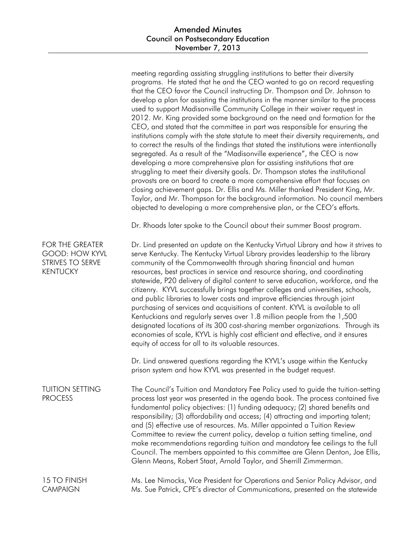|                                                                                        | meeting regarding assisting struggling institutions to better their diversity<br>programs. He stated that he and the CEO wanted to go on record requesting<br>that the CEO favor the Council instructing Dr. Thompson and Dr. Johnson to<br>develop a plan for assisting the institutions in the manner similar to the process<br>used to support Madisonville Community College in their waiver request in<br>2012. Mr. King provided some background on the need and formation for the<br>CEO, and stated that the committee in part was responsible for ensuring the<br>institutions comply with the state statute to meet their diversity requirements, and<br>to correct the results of the findings that stated the institutions were intentionally<br>segregated. As a result of the "Madisonville experience", the CEO is now<br>developing a more comprehensive plan for assisting institutions that are<br>struggling to meet their diversity goals. Dr. Thompson states the institutional<br>provosts are on board to create a more comprehensive effort that focuses on<br>closing achievement gaps. Dr. Ellis and Ms. Miller thanked President King, Mr.<br>Taylor, and Mr. Thompson for the background information. No council members<br>objected to developing a more comprehensive plan, or the CEO's efforts.<br>Dr. Rhoads later spoke to the Council about their summer Boost program. |
|----------------------------------------------------------------------------------------|------------------------------------------------------------------------------------------------------------------------------------------------------------------------------------------------------------------------------------------------------------------------------------------------------------------------------------------------------------------------------------------------------------------------------------------------------------------------------------------------------------------------------------------------------------------------------------------------------------------------------------------------------------------------------------------------------------------------------------------------------------------------------------------------------------------------------------------------------------------------------------------------------------------------------------------------------------------------------------------------------------------------------------------------------------------------------------------------------------------------------------------------------------------------------------------------------------------------------------------------------------------------------------------------------------------------------------------------------------------------------------------------------------|
| <b>FOR THE GREATER</b><br><b>GOOD: HOW KYVL</b><br>STRIVES TO SERVE<br><b>KENTUCKY</b> | Dr. Lind presented an update on the Kentucky Virtual Library and how it strives to<br>serve Kentucky. The Kentucky Virtual Library provides leadership to the library<br>community of the Commonwealth through sharing financial and human<br>resources, best practices in service and resource sharing, and coordinating<br>statewide, P20 delivery of digital content to serve education, workforce, and the<br>citizenry. KYVL successfully brings together colleges and universities, schools,<br>and public libraries to lower costs and improve efficiencies through joint<br>purchasing of services and acquisitions of content. KYVL is available to all<br>Kentuckians and regularly serves over 1.8 million people from the 1,500<br>designated locations of its 300 cost-sharing member organizations. Through its<br>economies of scale, KYVL is highly cost efficient and effective, and it ensures<br>equity of access for all to its valuable resources.                                                                                                                                                                                                                                                                                                                                                                                                                                    |
|                                                                                        | Dr. Lind answered questions regarding the KYVL's usage within the Kentucky<br>prison system and how KYVL was presented in the budget request.                                                                                                                                                                                                                                                                                                                                                                                                                                                                                                                                                                                                                                                                                                                                                                                                                                                                                                                                                                                                                                                                                                                                                                                                                                                              |
| <b>TUITION SETTING</b><br><b>PROCESS</b>                                               | The Council's Tuition and Mandatory Fee Policy used to guide the tuition-setting<br>process last year was presented in the agenda book. The process contained five<br>fundamental policy objectives: (1) funding adequacy; (2) shared benefits and<br>responsibility; (3) affordability and access; (4) attracting and importing talent;<br>and (5) effective use of resources. Ms. Miller appointed a Tuition Review<br>Committee to review the current policy, develop a tuition setting timeline, and<br>make recommendations regarding tuition and mandatory fee ceilings to the full<br>Council. The members appointed to this committee are Glenn Denton, Joe Ellis,<br>Glenn Means, Robert Staat, Arnold Taylor, and Sherrill Zimmerman.                                                                                                                                                                                                                                                                                                                                                                                                                                                                                                                                                                                                                                                            |
| 15 TO FINISH<br><b>CAMPAIGN</b>                                                        | Ms. Lee Nimocks, Vice President for Operations and Senior Policy Advisor, and<br>Ms. Sue Patrick, CPE's director of Communications, presented on the statewide                                                                                                                                                                                                                                                                                                                                                                                                                                                                                                                                                                                                                                                                                                                                                                                                                                                                                                                                                                                                                                                                                                                                                                                                                                             |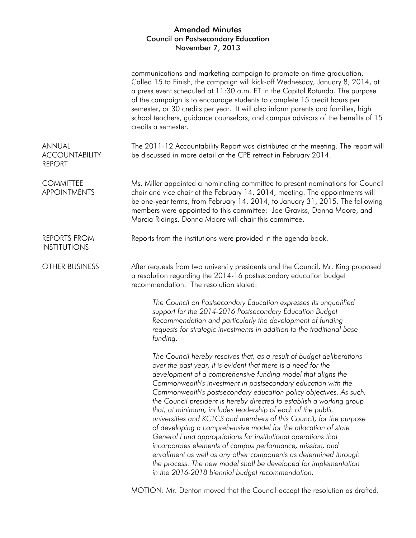|                                                  | communications and marketing campaign to promote on-time graduation.<br>Called 15 to Finish, the campaign will kick-off Wednesday, January 8, 2014, at<br>a press event scheduled at 11:30 a.m. ET in the Capitol Rotunda. The purpose<br>of the campaign is to encourage students to complete 15 credit hours per<br>semester, or 30 credits per year. It will also inform parents and families, high<br>school teachers, guidance counselors, and campus advisors of the benefits of 15<br>credits a semester.                                                                                                                                                                                                                                                                                                                                                                                                                                           |
|--------------------------------------------------|------------------------------------------------------------------------------------------------------------------------------------------------------------------------------------------------------------------------------------------------------------------------------------------------------------------------------------------------------------------------------------------------------------------------------------------------------------------------------------------------------------------------------------------------------------------------------------------------------------------------------------------------------------------------------------------------------------------------------------------------------------------------------------------------------------------------------------------------------------------------------------------------------------------------------------------------------------|
| ANNUAL<br><b>ACCOUNTABILITY</b><br><b>REPORT</b> | The 2011-12 Accountability Report was distributed at the meeting. The report will<br>be discussed in more detail at the CPE retreat in February 2014.                                                                                                                                                                                                                                                                                                                                                                                                                                                                                                                                                                                                                                                                                                                                                                                                      |
| <b>COMMITTEE</b><br><b>APPOINTMENTS</b>          | Ms. Miller appointed a nominating committee to present nominations for Council<br>chair and vice chair at the February 14, 2014, meeting. The appointments will<br>be one-year terms, from February 14, 2014, to January 31, 2015. The following<br>members were appointed to this committee: Joe Graviss, Donna Moore, and<br>Marcia Ridings. Donna Moore will chair this committee.                                                                                                                                                                                                                                                                                                                                                                                                                                                                                                                                                                      |
| <b>REPORTS FROM</b><br><b>INSTITUTIONS</b>       | Reports from the institutions were provided in the agenda book.                                                                                                                                                                                                                                                                                                                                                                                                                                                                                                                                                                                                                                                                                                                                                                                                                                                                                            |
| <b>OTHER BUSINESS</b>                            | After requests from two university presidents and the Council, Mr. King proposed<br>a resolution regarding the 2014-16 postsecondary education budget<br>recommendation. The resolution stated:                                                                                                                                                                                                                                                                                                                                                                                                                                                                                                                                                                                                                                                                                                                                                            |
|                                                  | The Council on Postsecondary Education expresses its unqualified<br>support for the 2014-2016 Postsecondary Education Budget<br>Recommendation and particularly the development of funding<br>requests for strategic investments in addition to the traditional base<br>funding.                                                                                                                                                                                                                                                                                                                                                                                                                                                                                                                                                                                                                                                                           |
|                                                  | The Council hereby resolves that, as a result of budget deliberations<br>over the past year, it is evident that there is a need for the<br>development of a comprehensive funding model that aligns the<br>Commonwealth's investment in postsecondary education with the<br>Commonwealth's postsecondary education policy objectives. As such,<br>the Council president is hereby directed to establish a working group<br>that, at minimum, includes leadership of each of the public<br>universities and KCTCS and members of this Council, for the purpose<br>of developing a comprehensive model for the allocation of state<br>General Fund appropriations for institutional operations that<br>incorporates elements of campus performance, mission, and<br>enrollment as well as any other components as determined through<br>the process. The new model shall be developed for implementation<br>in the 2016-2018 biennial budget recommendation. |

MOTION: Mr. Denton moved that the Council accept the resolution as drafted.